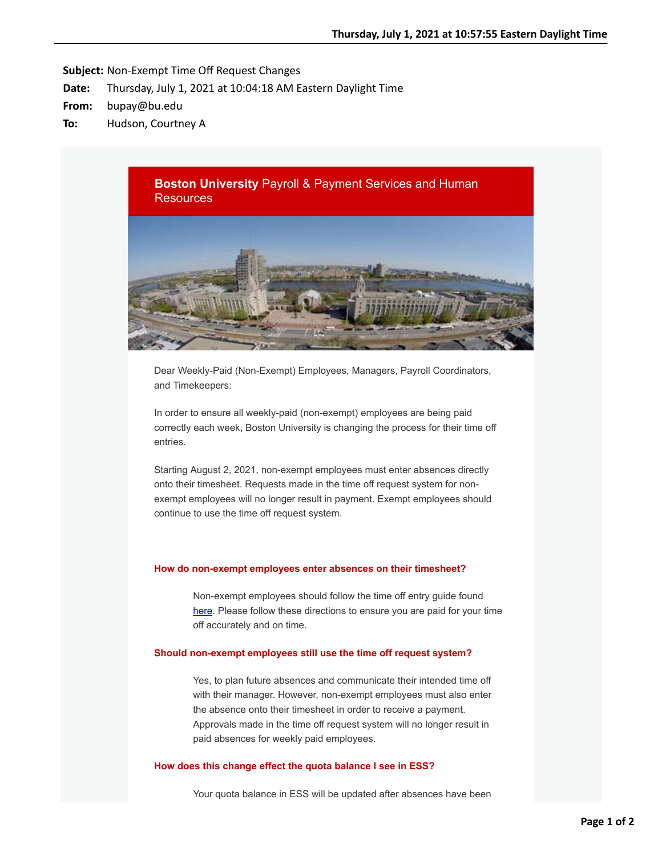**Subject:** Non-Exempt Time Off Request Changes

- **Date:** Thursday, July 1, 2021 at 10:04:18 AM Eastern Daylight Time
- **From:** bupay@bu.edu
- **To:** Hudson, Courtney A



Dear Weekly-Paid (Non-Exempt) Employees, Managers, Payroll Coordinators, and Timekeepers:

In order to ensure all weekly-paid (non-exempt) employees are being paid correctly each week, Boston University is changing the process for their time off entries.

Starting August 2, 2021, non-exempt employees must enter absences directly onto their timesheet. Requests made in the time off request system for nonexempt employees will no longer result in payment. Exempt employees should continue to use the time off request system.

## **How do non-exempt employees enter absences on their timesheet?**

Non-exempt employees should follow the time off entry guide found [here.](http://www.bu.edu/tech/files/2015/12/Time-entry-instructions.pdf) Please follow these directions to ensure you are paid for your time off accurately and on time.

## **Should non-exempt employees still use the time off request system?**

Yes, to plan future absences and communicate their intended time off with their manager. However, non-exempt employees must also enter the absence onto their timesheet in order to receive a payment. Approvals made in the time off request system will no longer result in paid absences for weekly paid employees.

### **How does this change effect the quota balance I see in ESS?**

Your quota balance in ESS will be updated after absences have been